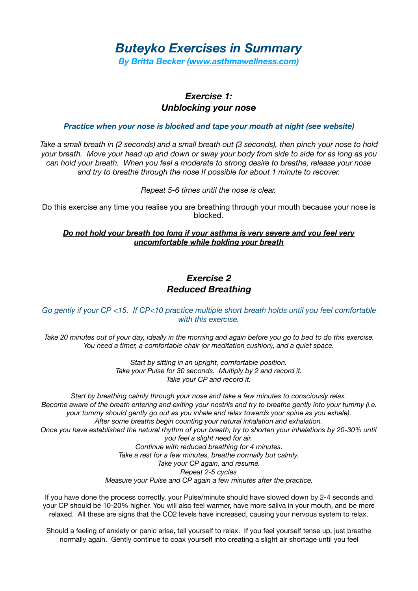# *Buteyko Exercises in Summary*

*By Britta Becker [\(www.asthmawellness.com\)](http://www.asthmawellness.com)* 

# *Exercise 1: Unblocking your nose*

#### *Practice when your nose is blocked and tape your mouth at night (see website)*

*Take a small breath in (2 seconds) and a small breath out (3 seconds), then pinch your nose to hold your breath. Move your head up and down or sway your body from side to side for as long as you can hold your breath. When you feel a moderate to strong desire to breathe, release your nose and try to breathe through the nose If possible for about 1 minute to recover.* 

*Repeat 5-6 times until the nose is clear.* 

Do this exercise any time you realise you are breathing through your mouth because your nose is blocked.

### *Do not hold your breath too long if your asthma is very severe and you feel very uncomfortable while holding your breath*

# *Exercise 2 Reduced Breathing*

### *Go gently if your CP <15. If CP<10 practice multiple short breath holds until you feel comfortable with this exercise.*

*Take 20 minutes out of your day, ideally in the morning and again before you go to bed to do this exercise. You need a timer, a comfortable chair (or meditation cushion), and a quiet space.* 

> *Start by sitting in an upright, comfortable position. Take your Pulse for 30 seconds. Multiply by 2 and record it. Take your CP and record it.*

*Start by breathing calmly through your nose and take a few minutes to consciously relax. Become aware of the breath entering and exiting your nostrils and try to breathe gently into your tummy (i.e. your tummy should gently go out as you inhale and relax towards your spine as you exhale). After some breaths begin counting your natural inhalation and exhalation. Once you have established the natural rhythm of your breath, try to shorten your inhalations by 20-30% until you feel a slight need for air. Continue with reduced breathing for 4 minutes. Take a rest for a few minutes, breathe normally but calmly. Take your CP again, and resume. Repeat 2-5 cycles Measure your Pulse and CP again a few minutes after the practice.* 

If you have done the process correctly, your Pulse/minute should have slowed down by 2-4 seconds and your CP should be 10-20% higher. You will also feel warmer, have more saliva in your mouth, and be more relaxed. All these are signs that the CO2 levels have increased, causing your nervous system to relax.

Should a feeling of anxiety or panic arise, tell yourself to relax. If you feel yourself tense up, just breathe normally again. Gently continue to coax yourself into creating a slight air shortage until you feel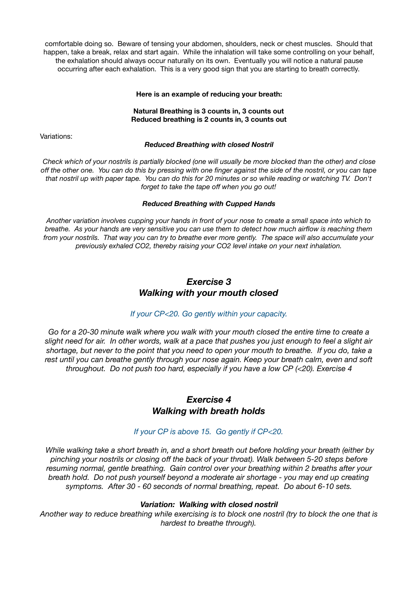comfortable doing so. Beware of tensing your abdomen, shoulders, neck or chest muscles. Should that happen, take a break, relax and start again. While the inhalation will take some controlling on your behalf, the exhalation should always occur naturally on its own. Eventually you will notice a natural pause occurring after each exhalation. This is a very good sign that you are starting to breath correctly.

#### **Here is an example of reducing your breath:**

#### **Natural Breathing is 3 counts in, 3 counts out Reduced breathing is 2 counts in, 3 counts out**

Variations:

#### *Reduced Breathing with closed Nostril*

*Check which of your nostrils is partially blocked (one will usually be more blocked than the other) and close off the other one. You can do this by pressing with one finger against the side of the nostril, or you can tape that nostril up with paper tape. You can do this for 20 minutes or so while reading or watching TV. Don't forget to take the tape off when you go out!* 

#### *Reduced Breathing with Cupped Hands*

*Another variation involves cupping your hands in front of your nose to create a small space into which to breathe. As your hands are very sensitive you can use them to detect how much airflow is reaching them from your nostrils. That way you can try to breathe ever more gently. The space will also accumulate your previously exhaled CO2, thereby raising your CO2 level intake on your next inhalation.* 

# *Exercise 3 Walking with your mouth closed*

### *If your CP<20. Go gently within your capacity.*

*Go for a 20-30 minute walk where you walk with your mouth closed the entire time to create a slight need for air. In other words, walk at a pace that pushes you just enough to feel a slight air shortage, but never to the point that you need to open your mouth to breathe. If you do, take a*  rest until you can breathe gently through your nose again. Keep your breath calm, even and soft *throughout. Do not push too hard, especially if you have a low CP (<20). Exercise 4* 

## *Exercise 4 Walking with breath holds*

### *If your CP is above 15. Go gently if CP<20.*

 *While walking take a short breath in, and a short breath out before holding your breath (either by pinching your nostrils or closing off the back of your throat). Walk between 5-20 steps before resuming normal, gentle breathing. Gain control over your breathing within 2 breaths after your breath hold. Do not push yourself beyond a moderate air shortage - you may end up creating symptoms. After 30 - 60 seconds of normal breathing, repeat. Do about 6-10 sets.* 

#### *Variation: Walking with closed nostril*

*Another way to reduce breathing while exercising is to block one nostril (try to block the one that is hardest to breathe through).*